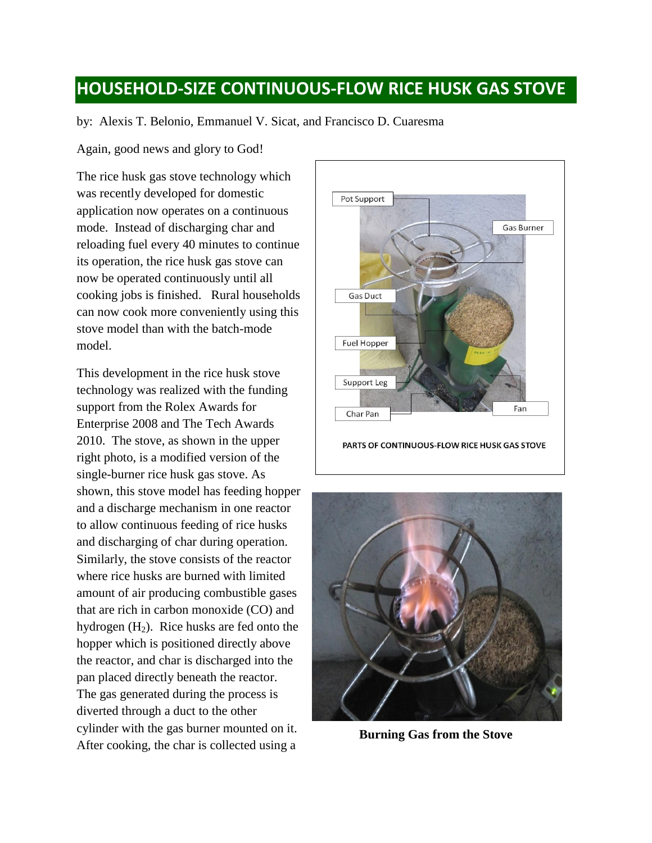## **HOUSEHOLD-SIZE CONTINUOUS-FLOW RICE HUSK GAS STOVE**

by: Alexis T. Belonio, Emmanuel V. Sicat, and Francisco D. Cuaresma

Again, good news and glory to God!

The rice husk gas stove technology which was recently developed for domestic application now operates on a continuous mode. Instead of discharging char and reloading fuel every 40 minutes to continue its operation, the rice husk gas stove can now be operated continuously until all cooking jobs is finished. Rural households can now cook more conveniently using this stove model than with the batch-mode model.

This development in the rice husk stove technology was realized with the funding support from the Rolex Awards for Enterprise 2008 and The Tech Awards 2010. The stove, as shown in the upper right photo, is a modified version of the single-burner rice husk gas stove. As shown, this stove model has feeding hopper and a discharge mechanism in one reactor to allow continuous feeding of rice husks and discharging of char during operation. Similarly, the stove consists of the reactor where rice husks are burned with limited amount of air producing combustible gases that are rich in carbon monoxide (CO) and hydrogen  $(H_2)$ . Rice husks are fed onto the hopper which is positioned directly above the reactor, and char is discharged into the pan placed directly beneath the reactor. The gas generated during the process is diverted through a duct to the other cylinder with the gas burner mounted on it. After cooking, the char is collected using a



PARTS OF CONTINUOUS-FLOW RICE HUSK GAS STOVE



**Burning Gas from the Stove**